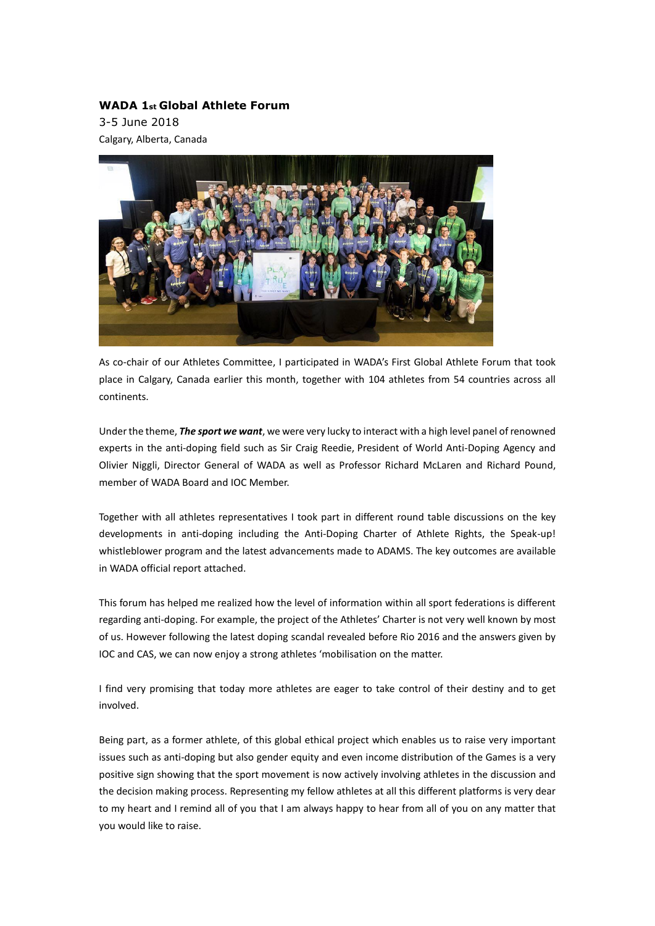## **WADA 1st Global Athlete Forum**

3-5 June 2018 Calgary, Alberta, Canada



As co-chair of our Athletes Committee, I participated in WADA's First Global Athlete Forum that took place in Calgary, Canada earlier this month, together with 104 athletes from 54 countries across all continents.

Under the theme, *The sport we want*, we were very lucky to interact with a high level panel ofrenowned experts in the anti-doping field such as Sir Craig Reedie, President of World Anti-Doping Agency and Olivier Niggli, Director General of WADA as well as Professor Richard McLaren and Richard Pound, member of WADA Board and IOC Member.

Together with all athletes representatives I took part in different round table discussions on the key developments in anti-doping including the Anti-Doping Charter of Athlete Rights, the Speak-up! whistleblower program and the latest advancements made to ADAMS. The key outcomes are available in WADA official report attached.

This forum has helped me realized how the level of information within all sport federations is different regarding anti-doping. For example, the project of the Athletes' Charter is not very well known by most of us. However following the latest doping scandal revealed before Rio 2016 and the answers given by IOC and CAS, we can now enjoy a strong athletes 'mobilisation on the matter.

I find very promising that today more athletes are eager to take control of their destiny and to get involved.

Being part, as a former athlete, of this global ethical project which enables us to raise very important issues such as anti-doping but also gender equity and even income distribution of the Games is a very positive sign showing that the sport movement is now actively involving athletes in the discussion and the decision making process. Representing my fellow athletes at all this different platforms is very dear to my heart and I remind all of you that I am always happy to hear from all of you on any matter that you would like to raise.